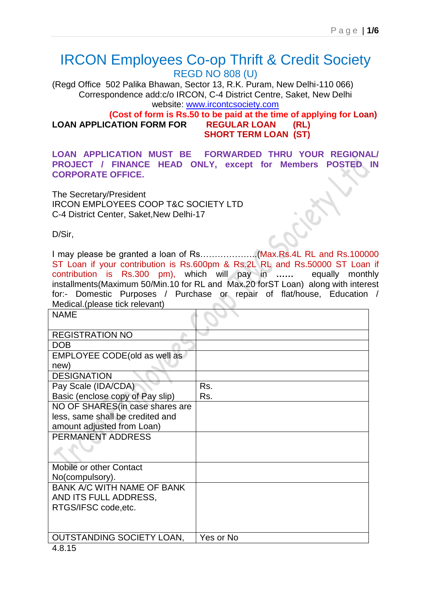## IRCON Employees Co-op Thrift & Credit Society REGD NO 808 (U)

(Regd Office 502 Palika Bhawan, Sector 13, R.K. Puram, New Delhi-110 066) Correspondence add:c/o IRCON, C-4 District Centre, Saket, New Delhi website: [www.ircontcsociety.com](http://www.ircontcsociety.com/)

 **(Cost of form is Rs.50 to be paid at the time of applying for Loan) LOAN APPLICATION FORM FOR REGULAR LOAN (RL) SHORT TERM LOAN (ST)** 

**LOAN APPLICATION MUST BE FORWARDED THRU YOUR REGIONAL/ PROJECT / FINANCE HEAD ONLY, except for Members POSTED IN CORPORATE OFFICE.**

The Secretary/President IRCON EMPLOYEES COOP T&C SOCIETY LTD C-4 District Center, Saket,New Delhi-17

D/Sir,

I may please be granted a loan of Rs………………..(Max.Rs.4L RL and Rs.100000 ST Loan if your contribution is Rs.600pm & Rs.2L RL and Rs.50000 ST Loan if contribution is Rs.300 pm), which will pay in **……** equally monthly installments(Maximum 50/Min.10 for RL and Max.20 forST Loan) along with interest for:- Domestic Purposes / Purchase or repair of flat/house, Education / Medical.(please tick relevant) 

| Rs.       |
|-----------|
| Rs.       |
|           |
|           |
|           |
|           |
|           |
|           |
|           |
|           |
|           |
|           |
|           |
|           |
|           |
| Yes or No |
|           |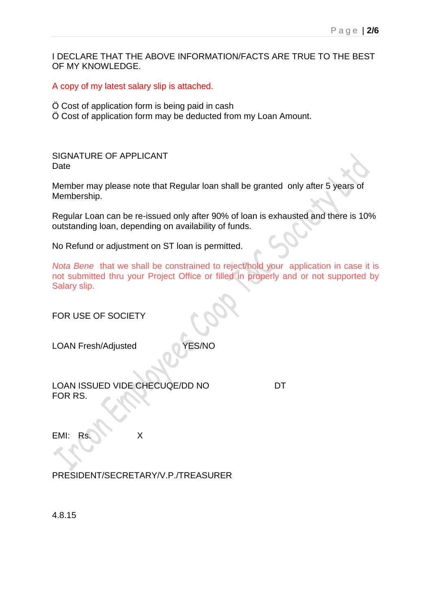I DECLARE THAT THE ABOVE INFORMATION/FACTS ARE TRUE TO THE BEST OF MY KNOWLEDGE.

A copy of my latest salary slip is attached.

- Ö Cost of application form is being paid in cash
- Ö Cost of application form may be deducted from my Loan Amount.

SIGNATURE OF APPLICANT Date

Member may please note that Regular loan shall be granted only after 5 years of Membership.

Regular Loan can be re-issued only after 90% of loan is exhausted and there is 10% outstanding loan, depending on availability of funds.

No Refund or adjustment on ST loan is permitted.

*Nota Bene* that we shall be constrained to reject/hold your application in case it is not submitted thru your Project Office or filled in properly and or not supported by Salary slip.

| FOR USE OF SOCIETY                          |    |  |
|---------------------------------------------|----|--|
| <b>YES/NO</b><br><b>LOAN Fresh/Adjusted</b> |    |  |
| LOAN ISSUED VIDE CHECUQE/DD NO<br>FOR RS.   | DT |  |
| EMI:<br>X<br>Rs.                            |    |  |
| PRESIDENT/SECRETARY/V.P./TREASURER          |    |  |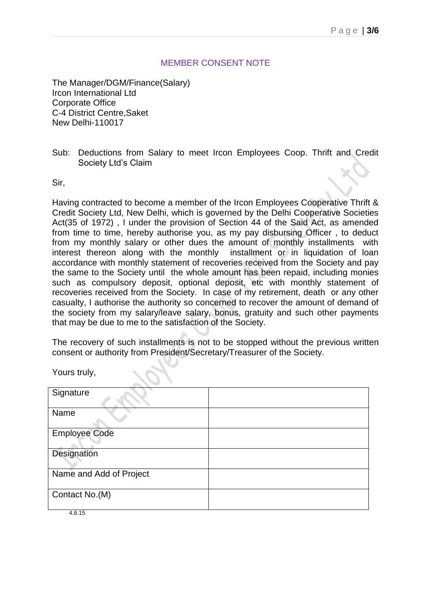## MEMBER CONSENT NOTE

The Manager/DGM/Finance(Salary) Ircon International Ltd Corporate Office C-4 District Centre,Saket New Delhi-110017

Sub: Deductions from Salary to meet Ircon Employees Coop. Thrift and Credit Society Ltd's Claim

Sir,

Having contracted to become a member of the Ircon Employees Cooperative Thrift & Credit Society Ltd, New Delhi, which is governed by the Delhi Cooperative Societies Act(35 of 1972) , I under the provision of Section 44 of the Said Act, as amended from time to time, hereby authorise you, as my pay disbursing Officer , to deduct from my monthly salary or other dues the amount of monthly installments with interest thereon along with the monthly installment or in liquidation of loan accordance with monthly statement of recoveries received from the Society and pay the same to the Society until the whole amount has been repaid, including monies such as compulsory deposit, optional deposit, etc with monthly statement of recoveries received from the Society. In case of my retirement, death or any other casualty, I authorise the authority so concerned to recover the amount of demand of the society from my salary/leave salary, bonus, gratuity and such other payments that may be due to me to the satisfaction of the Society.

The recovery of such installments is not to be stopped without the previous written consent or authority from President/Secretary/Treasurer of the Society.

Yours truly,

| Signature               |  |
|-------------------------|--|
| Name                    |  |
| <b>Employee Code</b>    |  |
| Designation             |  |
| Name and Add of Project |  |
| Contact No.(M)          |  |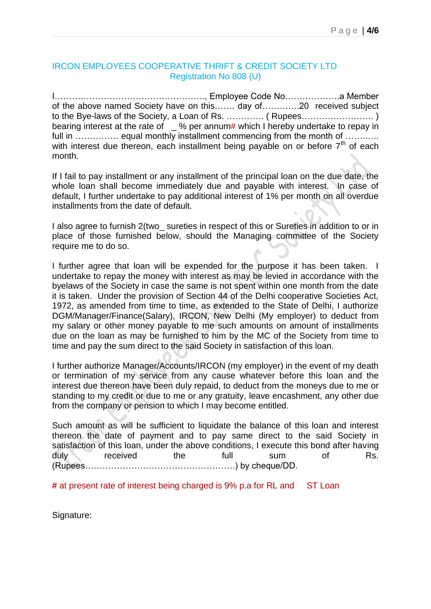## IRCON EMPLOYEES COOPERATIVE THRIFT & CREDIT SOCIETY LTD Registration No 808 (U)

I……………………………………………., Employee Code No……………….a Member of the above named Society have on this……. day of………….20 received subject to the Bye-laws of the Society, a Loan of Rs. …………. ( Rupees……………………. ) bearing interest at the rate of  $\sqrt{ }$  % per annum# which I hereby undertake to repay in full in …………… equal monthly installment commencing from the month of ………… with interest due thereon, each installment being payable on or before  $7<sup>th</sup>$  of each month.

If I fail to pay installment or any installment of the principal loan on the due date, the whole loan shall become immediately due and payable with interest. In case of default, I further undertake to pay additional interest of 1% per month on all overdue installments from the date of default.

I also agree to furnish 2(two\_ sureties in respect of this or Sureties in addition to or in place of those furnished below, should the Managing committee of the Society require me to do so.

I further agree that loan will be expended for the purpose it has been taken. I undertake to repay the money with interest as may be levied in accordance with the byelaws of the Society in case the same is not spent within one month from the date it is taken. Under the provision of Section 44 of the Delhi cooperative Societies Act, 1972, as amended from time to time, as extended to the State of Delhi, I authorize DGM/Manager/Finance(Salary), IRCON, New Delhi (My employer) to deduct from my salary or other money payable to me such amounts on amount of installments due on the loan as may be furnished to him by the MC of the Society from time to time and pay the sum direct to the said Society in satisfaction of this loan.

I further authorize Manager/Accounts/IRCON (my employer) in the event of my death or termination of my service from any cause whatever before this loan and the interest due thereon have been duly repaid, to deduct from the moneys due to me or standing to my credit or due to me or any gratuity, leave encashment, any other due from the company or pension to which I may become entitled.

Such amount as will be sufficient to liquidate the balance of this loan and interest thereon the date of payment and to pay same direct to the said Society in satisfaction of this loan, under the above conditions, I execute this bond after having duly received the full sum of Rs. (Rupees…………………………………………….) by cheque/DD.

**#** at present rate of interest being charged is 9% p.a for RL and ST Loan

Signature: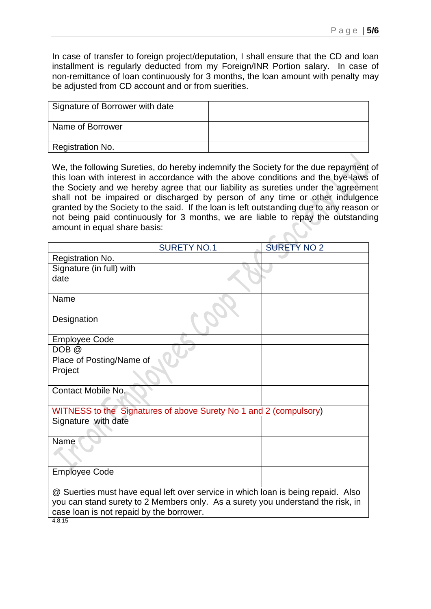In case of transfer to foreign project/deputation, I shall ensure that the CD and loan installment is regularly deducted from my Foreign/INR Portion salary. In case of non-remittance of loan continuously for 3 months, the loan amount with penalty may be adjusted from CD account and or from suerities.

| Signature of Borrower with date |  |
|---------------------------------|--|
| Name of Borrower                |  |
| Registration No.                |  |
|                                 |  |

We, the following Sureties, do hereby indemnify the Society for the due repayment of this loan with interest in accordance with the above conditions and the bye-laws of the Society and we hereby agree that our liability as sureties under the agreement shall not be impaired or discharged by person of any time or other indulgence granted by the Society to the said. If the loan is left outstanding due to any reason or not being paid continuously for 3 months, we are liable to repay the outstanding amount in equal share basis:

|                                                                                  | <b>SURETY NO.1</b>                                                | <b>SURETY NO 2</b> |  |
|----------------------------------------------------------------------------------|-------------------------------------------------------------------|--------------------|--|
| Registration No.                                                                 |                                                                   |                    |  |
| Signature (in full) with                                                         |                                                                   |                    |  |
| date                                                                             |                                                                   |                    |  |
| Name                                                                             |                                                                   |                    |  |
|                                                                                  |                                                                   |                    |  |
| Designation                                                                      |                                                                   |                    |  |
| <b>Employee Code</b>                                                             |                                                                   |                    |  |
| DOB <sub>@</sub>                                                                 |                                                                   |                    |  |
| Place of Posting/Name of                                                         |                                                                   |                    |  |
| Project                                                                          |                                                                   |                    |  |
|                                                                                  |                                                                   |                    |  |
| Contact Mobile No.                                                               |                                                                   |                    |  |
|                                                                                  |                                                                   |                    |  |
|                                                                                  | WITNESS to the Signatures of above Surety No 1 and 2 (compulsory) |                    |  |
| Signature with date                                                              |                                                                   |                    |  |
| Name                                                                             |                                                                   |                    |  |
|                                                                                  |                                                                   |                    |  |
|                                                                                  |                                                                   |                    |  |
| <b>Employee Code</b>                                                             |                                                                   |                    |  |
|                                                                                  |                                                                   |                    |  |
| @ Suerties must have equal left over service in which loan is being repaid. Also |                                                                   |                    |  |
| you can stand surety to 2 Members only. As a surety you understand the risk, in  |                                                                   |                    |  |
| case loan is not repaid by the borrower.                                         |                                                                   |                    |  |